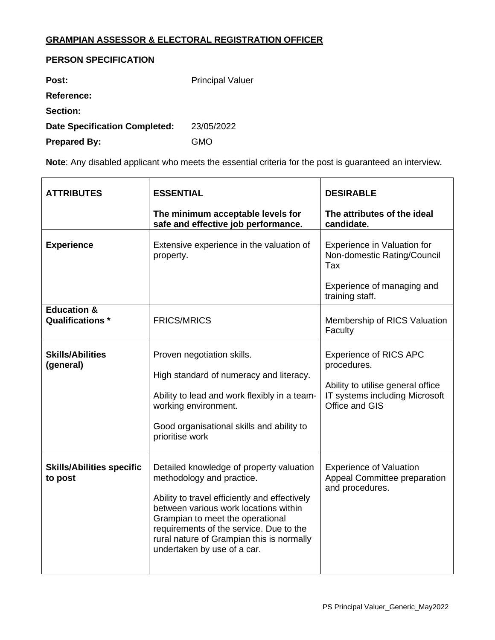## **GRAMPIAN ASSESSOR & ELECTORAL REGISTRATION OFFICER**

## **PERSON SPECIFICATION**

| Post:                                | <b>Principal Valuer</b> |
|--------------------------------------|-------------------------|
| <b>Reference:</b>                    |                         |
| <b>Section:</b>                      |                         |
| <b>Date Specification Completed:</b> | 23/05/2022              |
| <b>Prepared By:</b>                  | GMO                     |

**Note**: Any disabled applicant who meets the essential criteria for the post is guaranteed an interview.

| <b>ATTRIBUTES</b>                                 | <b>ESSENTIAL</b>                                                                                                                                                                                                                                                                                                           | <b>DESIRABLE</b>                                                                                                                      |
|---------------------------------------------------|----------------------------------------------------------------------------------------------------------------------------------------------------------------------------------------------------------------------------------------------------------------------------------------------------------------------------|---------------------------------------------------------------------------------------------------------------------------------------|
|                                                   | The minimum acceptable levels for<br>safe and effective job performance.                                                                                                                                                                                                                                                   | The attributes of the ideal<br>candidate.                                                                                             |
| <b>Experience</b>                                 | Extensive experience in the valuation of<br>property.                                                                                                                                                                                                                                                                      | Experience in Valuation for<br>Non-domestic Rating/Council<br>Tax<br>Experience of managing and<br>training staff.                    |
| <b>Education &amp;</b><br><b>Qualifications *</b> | <b>FRICS/MRICS</b>                                                                                                                                                                                                                                                                                                         | Membership of RICS Valuation<br>Faculty                                                                                               |
| <b>Skills/Abilities</b><br>(general)              | Proven negotiation skills.<br>High standard of numeracy and literacy.<br>Ability to lead and work flexibly in a team-<br>working environment.<br>Good organisational skills and ability to<br>prioritise work                                                                                                              | <b>Experience of RICS APC</b><br>procedures.<br>Ability to utilise general office<br>IT systems including Microsoft<br>Office and GIS |
| <b>Skills/Abilities specific</b><br>to post       | Detailed knowledge of property valuation<br>methodology and practice.<br>Ability to travel efficiently and effectively<br>between various work locations within<br>Grampian to meet the operational<br>requirements of the service. Due to the<br>rural nature of Grampian this is normally<br>undertaken by use of a car. | <b>Experience of Valuation</b><br>Appeal Committee preparation<br>and procedures.                                                     |